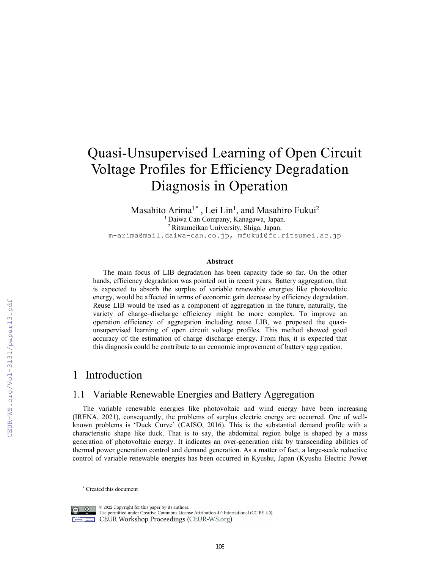# Quasi-Unsupervised Learning of Open Circuit Voltage Profiles for Efficiency Degradation Diagnosis in Operation

Masahito Arima<sup>1[\\*](#page-0-0)</sup>, Lei Lin<sup>1</sup>, and Masahiro Fukui<sup>2</sup> 1 Daiwa Can Company, Kanagawa, Japan. 2 Ritsumeikan University, Shiga, Japan. m-arima@mail.daiwa-can.co.jp, mfukui@fc.ritsumei.ac.jp

#### **Abstract**

The main focus of LIB degradation has been capacity fade so far. On the other hands, efficiency degradation was pointed out in recent years. Battery aggregation, that is expected to absorb the surplus of variable renewable energies like photovoltaic energy, would be affected in terms of economic gain decrease by efficiency degradation. Reuse LIB would be used as a component of aggregation in the future, naturally, the variety of charge–discharge efficiency might be more complex. To improve an operation efficiency of aggregation including reuse LIB, we proposed the quasiunsupervised learning of open circuit voltage profiles. This method showed good accuracy of the estimation of charge–discharge energy. From this, it is expected that this diagnosis could be contribute to an economic improvement of battery aggregation.

## 1 Introduction

### 1.1 Variable Renewable Energies and Battery Aggregation

The variable renewable energies like photovoltaic and wind energy have been increasing (IRENA, 2021), consequently, the problems of surplus electric energy are occurred. One of wellknown problems is 'Duck Curve' (CAISO, 2016). This is the substantial demand profile with a characteristic shape like duck. That is to say, the abdominal region bulge is shaped by a mass generation of photovoltaic energy. It indicates an over-generation risk by transcending abilities of thermal power generation control and demand generation. As a matter of fact, a large-scale reductive control of variable renewable energies has been occurred in Kyushu, Japan (Kyushu Electric Power

<span id="page-0-0"></span><sup>\*</sup> Created this document



 $\circledcirc$  2022 Copyright for this paper by its authors. Use permitted under Creative Commons License Attribution 4.0 International (CC BY 4.0). **CEUR Workshop Proceedings (CEUR-WS.org)**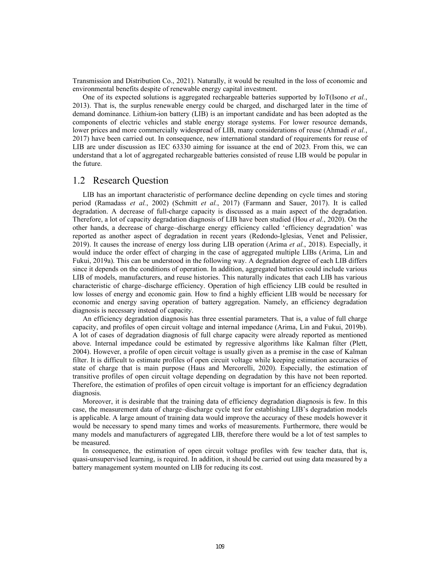Transmission and Distribution Co., 2021). Naturally, it would be resulted in the loss of economic and environmental benefits despite of renewable energy capital investment.

One of its expected solutions is aggregated rechargeable batteries supported by IoT(Isono *et al.*, 2013). That is, the surplus renewable energy could be charged, and discharged later in the time of demand dominance. Lithium-ion battery (LIB) is an important candidate and has been adopted as the components of electric vehicles and stable energy storage systems. For lower resource demands, lower prices and more commercially widespread of LIB, many considerations of reuse (Ahmadi *et al.*, 2017) have been carried out. In consequence, new international standard of requirements for reuse of LIB are under discussion as IEC 63330 aiming for issuance at the end of 2023. From this, we can understand that a lot of aggregated rechargeable batteries consisted of reuse LIB would be popular in the future.

#### 1.2 Research Question

LIB has an important characteristic of performance decline depending on cycle times and storing period (Ramadass *et al.*, 2002) (Schmitt *et al.*, 2017) (Farmann and Sauer, 2017). It is called degradation. A decrease of full-charge capacity is discussed as a main aspect of the degradation. Therefore, a lot of capacity degradation diagnosis of LIB have been studied (Hou *et al.*, 2020). On the other hands, a decrease of charge–discharge energy efficiency called 'efficiency degradation' was reported as another aspect of degradation in recent years (Redondo-Iglesias, Venet and Pelissier, 2019). It causes the increase of energy loss during LIB operation (Arima *et al.*, 2018). Especially, it would induce the order effect of charging in the case of aggregated multiple LIBs (Arima, Lin and Fukui, 2019a). This can be understood in the following way. A degradation degree of each LIB differs since it depends on the conditions of operation. In addition, aggregated batteries could include various LIB of models, manufacturers, and reuse histories. This naturally indicates that each LIB has various characteristic of charge–discharge efficiency. Operation of high efficiency LIB could be resulted in low losses of energy and economic gain. How to find a highly efficient LIB would be necessary for economic and energy saving operation of battery aggregation. Namely, an efficiency degradation diagnosis is necessary instead of capacity.

An efficiency degradation diagnosis has three essential parameters. That is, a value of full charge capacity, and profiles of open circuit voltage and internal impedance (Arima, Lin and Fukui, 2019b). A lot of cases of degradation diagnosis of full charge capacity were already reported as mentioned above. Internal impedance could be estimated by regressive algorithms like Kalman filter (Plett, 2004). However, a profile of open circuit voltage is usually given as a premise in the case of Kalman filter. It is difficult to estimate profiles of open circuit voltage while keeping estimation accuracies of state of charge that is main purpose (Haus and Mercorelli, 2020). Especially, the estimation of transitive profiles of open circuit voltage depending on degradation by this have not been reported. Therefore, the estimation of profiles of open circuit voltage is important for an efficiency degradation diagnosis.

Moreover, it is desirable that the training data of efficiency degradation diagnosis is few. In this case, the measurement data of charge–discharge cycle test for establishing LIB's degradation models is applicable. A large amount of training data would improve the accuracy of these models however it would be necessary to spend many times and works of measurements. Furthermore, there would be many models and manufacturers of aggregated LIB, therefore there would be a lot of test samples to be measured.

In consequence, the estimation of open circuit voltage profiles with few teacher data, that is, quasi-unsupervised learning, is required. In addition, it should be carried out using data measured by a battery management system mounted on LIB for reducing its cost.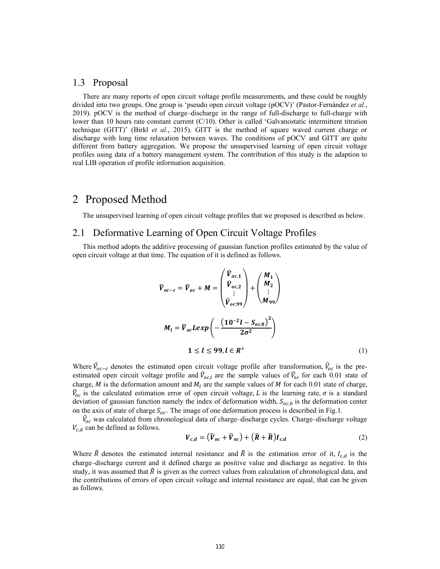#### 1.3 Proposal

There are many reports of open circuit voltage profile measurements, and these could be roughly divided into two groups. One group is 'pseudo open circuit voltage (pOCV)' (Pastor-Fernández *et al.*, 2019). pOCV is the method of charge–discharge in the range of full-discharge to full-charge with lower than 10 hours rate constant current (C/10). Other is called 'Galvanostatic intermittent titration technique (GITT)' (Birkl *et al.*, 2015). GITT is the method of square waved current charge or discharge with long time relaxation between waves. The conditions of pOCV and GITT are quite different from battery aggregation. We propose the unsupervised learning of open circuit voltage profiles using data of a battery management system. The contribution of this study is the adaption to real LIB operation of profile information acquisition.

## 2 Proposed Method

The unsupervised learning of open circuit voltage profiles that we proposed is described as below.

#### 2.1 Deformative Learning of Open Circuit Voltage Profiles

This method adopts the additive processing of gaussian function profiles estimated by the value of open circuit voltage at that time. The equation of it is defined as follows.

$$
\hat{V}_{oc-c} = \hat{V}_{oc} + M = \begin{pmatrix} \hat{V}_{oc,1} \\ \hat{V}_{oc,2} \\ \vdots \\ \hat{V}_{oc,99} \end{pmatrix} + \begin{pmatrix} M_1 \\ M_2 \\ \vdots \\ M_{99} \end{pmatrix}
$$

$$
M_l = \tilde{V}_{oc}Lexp\left(-\frac{(10^{-2}l - S_{oc,0})^2}{2\sigma^2}\right)
$$

$$
1 \le l \le 99, l \in R^+
$$
(1)

Where  $\hat{V}_{oc-c}$  denotes the estimated open circuit voltage profile after transformation,  $\hat{V}_{oc}$  is the preestimated open circuit voltage profile and  $\hat{V}_{oc,l}$  are the sample values of  $\hat{V}_{oc}$  for each 0.01 state of charge, *M* is the deformation amount and  $M_l$  are the sample values of *M* for each 0.01 state of charge,  $\hat{V}_{\text{o}c}$  is the calculated estimation error of open circuit voltage, *L* is the learning rate,  $\sigma$  is a standard deviation of gaussian function namely the index of deformation width,  $S_{oc,0}$  is the deformation center on the axis of state of charge  $S_{oc}$ . The image of one deformation process is described in Fig.1.

 $V_{oc}$  was calculated from chronological data of charge–discharge cycles. Charge–discharge voltage  $V_{c,d}$  can be defined as follows.

$$
V_{c,d} = (\widehat{V}_{oc} + \widetilde{V}_{oc}) + (\widehat{R} + \widetilde{R})I_{c,d}
$$
 (2)

Where  $\hat{R}$  denotes the estimated internal resistance and  $\tilde{R}$  is the estimation error of it,  $I_{c,d}$  is the charge–discharge current and it defined charge as positive value and discharge as negative. In this study, it was assumed that  $\hat{R}$  is given as the correct values from calculation of chronological data, and the contributions of errors of open circuit voltage and internal resistance are equal, that can be given as follows.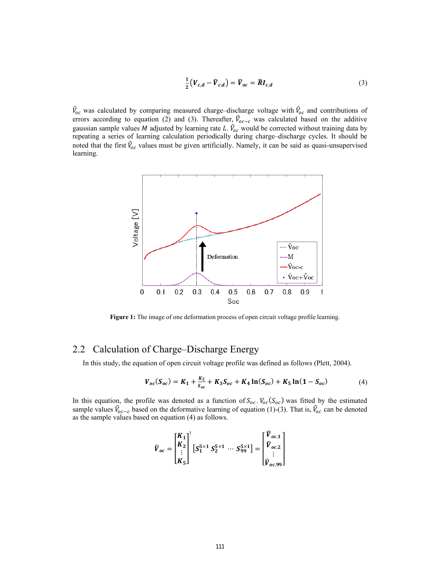$$
\frac{1}{2}\left(V_{c,d} - \widehat{V}_{c,d}\right) = \widetilde{V}_{oc} = \widetilde{R}I_{c,d} \tag{3}
$$

 $\hat{V}_{oc}$  was calculated by comparing measured charge–discharge voltage with  $\hat{V}_{oc}$  and contributions of errors according to equation (2) and (3). Thereafter,  $V_{oc-c}$  was calculated based on the additive gaussian sample values M adjusted by learning rate L.  $V_{oc}$  would be corrected without training data by repeating a series of learning calculation periodically during charge–discharge cycles. It should be noted that the first  $V_{oc}$  values must be given artificially. Namely, it can be said as quasi-unsupervised learning.



Figure 1: The image of one deformation process of open circuit voltage profile learning.

## 2.2 Calculation of Charge–Discharge Energy

In this study, the equation of open circuit voltage profile was defined as follows (Plett, 2004).

$$
V_{oc}(S_{oc}) = K_1 + \frac{K_2}{S_{oc}} + K_3 S_{oc} + K_4 \ln(S_{oc}) + K_5 \ln(1 - S_{oc})
$$
 (4)

In this equation, the profile was denoted as a function of  $S_{oc}$ .  $V_{oc}(S_{oc})$  was fitted by the estimated sample values  $\hat{V}_{oc-c}$  based on the deformative learning of equation (1)-(3). That is,  $\hat{V}_{oc}$  can be denoted as the sample values based on equation (4) as follows.

$$
\widehat{V}_{oc} = \begin{bmatrix} K_1 \\ K_2 \\ \vdots \\ K_5 \end{bmatrix}^{\text{T}} \left[ S_1^{5 \times 1} S_2^{5 \times 1} \cdots S_{99}^{5 \times 1} \right] = \begin{bmatrix} \widehat{V}_{oc,1} \\ \widehat{V}_{oc,2} \\ \vdots \\ \widehat{V}_{oc,99} \end{bmatrix}
$$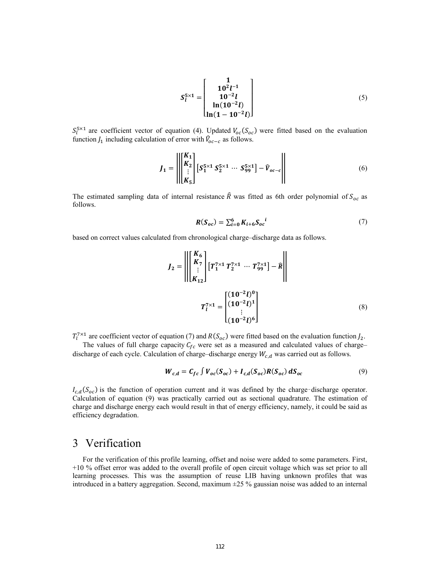$$
S_l^{5\times1} = \begin{bmatrix} 1 \\ 10^2 l^{-1} \\ 10^{-2} l \\ \ln(10^{-2} l) \\ \ln(1 - 10^{-2} l) \end{bmatrix}
$$
 (5)

 $S_l^{\rm 5x1}$  are coefficient vector of equation (4). Updated  $V_{oc}(S_{oc})$  were fitted based on the evaluation function  $J_1$  including calculation of error with  $\mathcal{V}_{oc-c}$  as follows.

$$
J_1 = \left\| \begin{bmatrix} K_1 \\ K_2 \\ \vdots \\ K_5 \end{bmatrix} \left[ S_1^{5 \times 1} S_2^{5 \times 1} \cdots S_{99}^{5 \times 1} \right] - \hat{V}_{oc-c} \right\| \tag{6}
$$

The estimated sampling data of internal resistance  $\hat{R}$  was fitted as 6th order polynomial of  $S_{oc}$  as follows.

$$
R(S_{oc}) = \sum_{i=0}^{6} K_{i+6} S_{oc}^{i}
$$
 (7)

based on correct values calculated from chronological charge–discharge data as follows.

$$
J_2 = \left\| \begin{bmatrix} K_6 \\ K_7 \\ \vdots \\ K_{12} \end{bmatrix} \begin{bmatrix} T_1^7 \times 1 & T_2^7 \times 1 & \cdots & T_{99}^{7 \times 1} \end{bmatrix} - \hat{R} \right\|
$$
  

$$
T_l^7 \times 1 = \begin{bmatrix} (10^{-2}l)^0 \\ (10^{-2}l)^1 \\ \vdots \\ (10^{-2}l)^6 \end{bmatrix}
$$
 (8)

 $T_l^{\gamma \times 1}$  are coefficient vector of equation (7) and  $R(S_{oc})$  were fitted based on the evaluation function  $J_2$ .

The values of full charge capacity  $C_{fc}$  were set as a measured and calculated values of charge– discharge of each cycle. Calculation of charge–discharge energy  $W_{c,d}$  was carried out as follows.

$$
W_{c,d} = C_{fc} \int V_{oc}(S_{oc}) + I_{c,d}(S_{oc}) R(S_{oc}) dS_{oc}
$$
 (9)

 $I_{c,d}(S_{oc})$  is the function of operation current and it was defined by the charge-discharge operator. Calculation of equation (9) was practically carried out as sectional quadrature. The estimation of charge and discharge energy each would result in that of energy efficiency, namely, it could be said as efficiency degradation.

## 3 Verification

For the verification of this profile learning, offset and noise were added to some parameters. First, +10 % offset error was added to the overall profile of open circuit voltage which was set prior to all learning processes. This was the assumption of reuse LIB having unknown profiles that was introduced in a battery aggregation. Second, maximum ±25 % gaussian noise was added to an internal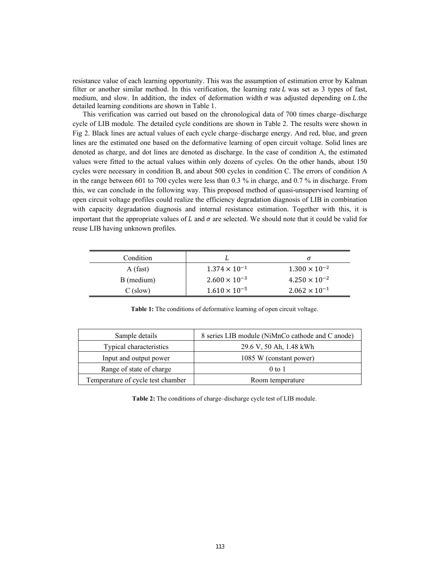resistance value of each learning opportunity. This was the assumption of estimation error by Kalman filter or another similar method. In this verification, the learning rate  $L$  was set as 3 types of fast, medium, and slow. In addition, the index of deformation width  $\sigma$  was adjusted depending on L.the detailed learning conditions are shown in Table 1.

This verification was carried out based on the chronological data of 700 times charge–discharge cycle of LIB module. The detailed cycle conditions are shown in Table 2. The results were shown in Fig 2. Black lines are actual values of each cycle charge–discharge energy. And red, blue, and green lines are the estimated one based on the deformative learning of open circuit voltage. Solid lines are denoted as charge, and dot lines are denoted as discharge. In the case of condition A, the estimated values were fitted to the actual values within only dozens of cycles. On the other hands, about 150 cycles were necessary in condition B, and about 500 cycles in condition C. The errors of condition A in the range between 601 to 700 cycles were less than 0.3 % in charge, and 0.7 % in discharge. From this, we can conclude in the following way. This proposed method of quasi-unsupervised learning of open circuit voltage profiles could realize the efficiency degradation diagnosis of LIB in combination with capacity degradation diagnosis and internal resistance estimation. Together with this, it is important that the appropriate values of  $L$  and  $\sigma$  are selected. We should note that it could be valid for reuse LIB having unknown profiles.

| Condition  |                        |                        |
|------------|------------------------|------------------------|
| A (fast)   | $1.374 \times 10^{-1}$ | $1.300 \times 10^{-2}$ |
| B (medium) | $2.600 \times 10^{-3}$ | $4.250 \times 10^{-2}$ |
| $C$ (slow) | $1.610 \times 10^{-5}$ | $2.062 \times 10^{-1}$ |

**Table 1:** The conditions of deformative learning of open circuit voltage.

| Sample details                                        | 8 series LIB module (NiMnCo cathode and C anode) |  |
|-------------------------------------------------------|--------------------------------------------------|--|
| Typical characteristics                               | 29.6 V, 50 Ah, 1.48 kWh                          |  |
| Input and output power                                | 1085 W (constant power)                          |  |
| Range of state of charge                              | $0$ to 1                                         |  |
| Temperature of cycle test chamber<br>Room temperature |                                                  |  |

**Table 2:** The conditions of charge–discharge cycle test of LIB module.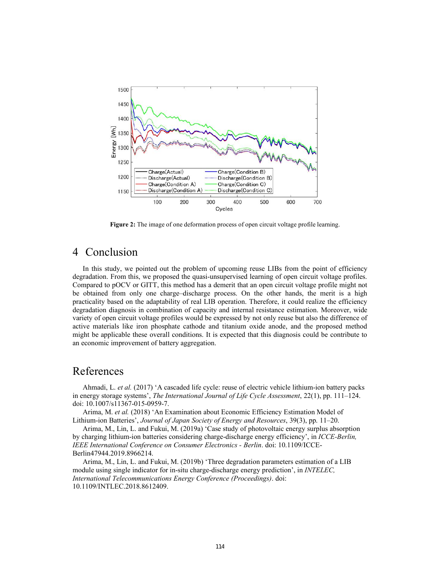

**Figure 2:** The image of one deformation process of open circuit voltage profile learning.

## 4 Conclusion

In this study, we pointed out the problem of upcoming reuse LIBs from the point of efficiency degradation. From this, we proposed the quasi-unsupervised learning of open circuit voltage profiles. Compared to pOCV or GITT, this method has a demerit that an open circuit voltage profile might not be obtained from only one charge–discharge process. On the other hands, the merit is a high practicality based on the adaptability of real LIB operation. Therefore, it could realize the efficiency degradation diagnosis in combination of capacity and internal resistance estimation. Moreover, wide variety of open circuit voltage profiles would be expressed by not only reuse but also the difference of active materials like iron phosphate cathode and titanium oxide anode, and the proposed method might be applicable these overall conditions. It is expected that this diagnosis could be contribute to an economic improvement of battery aggregation.

## References

Ahmadi, L. *et al.* (2017) 'A cascaded life cycle: reuse of electric vehicle lithium-ion battery packs in energy storage systems', *The International Journal of Life Cycle Assessment*, 22(1), pp. 111–124. doi: 10.1007/s11367-015-0959-7.

Arima, M. *et al.* (2018) 'An Examination about Economic Efficiency Estimation Model of Lithium-ion Batteries', *Journal of Japan Society of Energy and Resources*, 39(3), pp. 11–20.

Arima, M., Lin, L. and Fukui, M. (2019a) 'Case study of photovoltaic energy surplus absorption by charging lithium-ion batteries considering charge-discharge energy efficiency', in *ICCE-Berlin, IEEE International Conference on Consumer Electronics - Berlin*. doi: 10.1109/ICCE-Berlin47944.2019.8966214.

Arima, M., Lin, L. and Fukui, M. (2019b) 'Three degradation parameters estimation of a LIB module using single indicator for in-situ charge-discharge energy prediction', in *INTELEC, International Telecommunications Energy Conference (Proceedings)*. doi: 10.1109/INTLEC.2018.8612409.